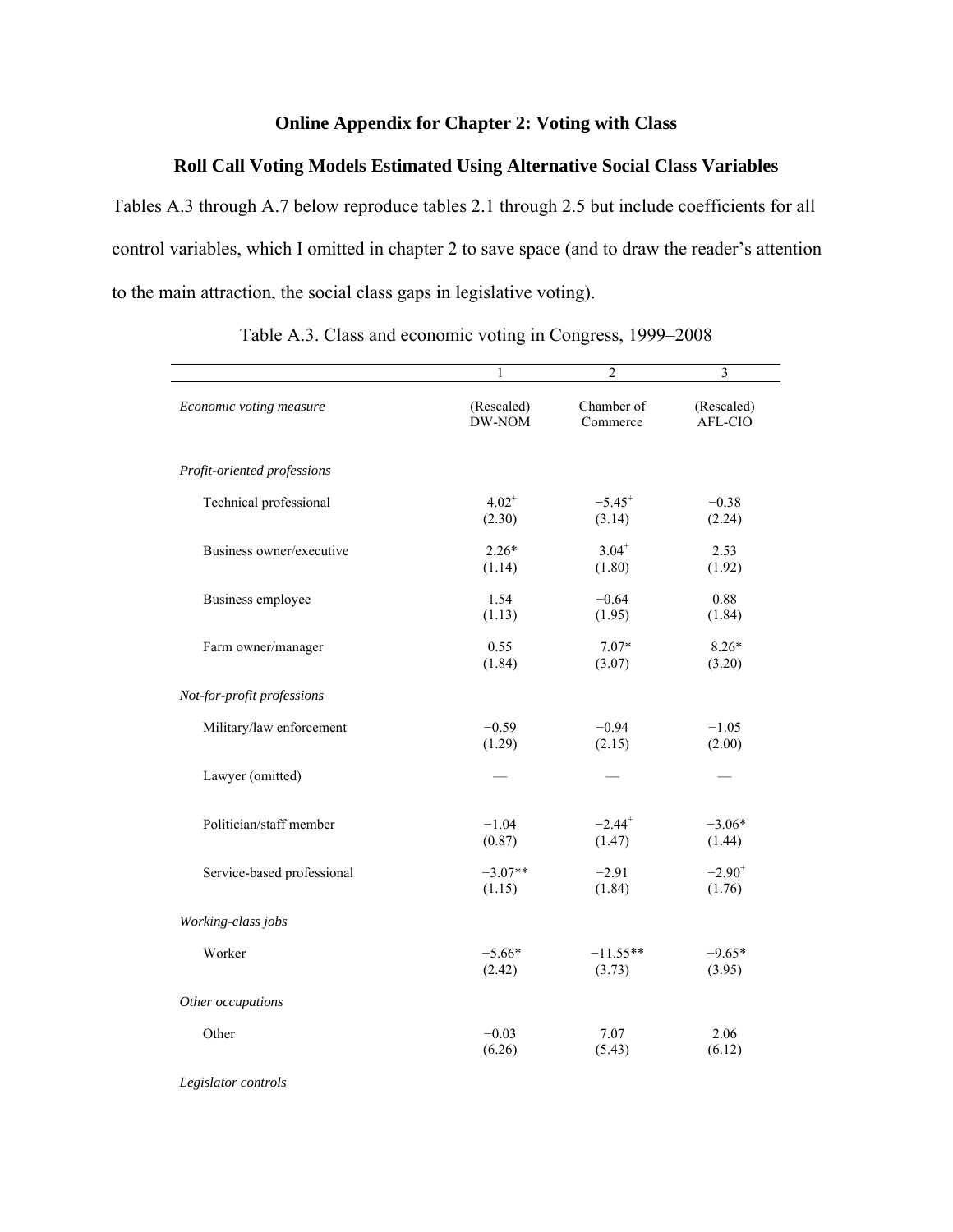### **Online Appendix for Chapter 2: Voting with Class**

## **Roll Call Voting Models Estimated Using Alternative Social Class Variables**

Tables A.3 through A.7 below reproduce tables 2.1 through 2.5 but include coefficients for all control variables, which I omitted in chapter 2 to save space (and to draw the reader's attention to the main attraction, the social class gaps in legislative voting).

|                             | 1          | $\overline{2}$       | 3          |
|-----------------------------|------------|----------------------|------------|
| Economic voting measure     | (Rescaled) | Chamber of           | (Rescaled) |
|                             | DW-NOM     | Commerce             | AFL-CIO    |
| Profit-oriented professions |            |                      |            |
| Technical professional      | $4.02^{+}$ | $-5.45$ <sup>+</sup> | $-0.38$    |
|                             | (2.30)     | (3.14)               | (2.24)     |
| Business owner/executive    | $2.26*$    | $3.04^{+}$           | 2.53       |
|                             | (1.14)     | (1.80)               | (1.92)     |
| Business employee           | 1.54       | $-0.64$              | 0.88       |
|                             | (1.13)     | (1.95)               | (1.84)     |
| Farm owner/manager          | 0.55       | $7.07*$              | $8.26*$    |
|                             | (1.84)     | (3.07)               | (3.20)     |
| Not-for-profit professions  |            |                      |            |
| Military/law enforcement    | $-0.59$    | $-0.94$              | $-1.05$    |
|                             | (1.29)     | (2.15)               | (2.00)     |
| Lawyer (omitted)            |            |                      |            |
| Politician/staff member     | $-1.04$    | $-2.44$ <sup>+</sup> | $-3.06*$   |
|                             | (0.87)     | (1.47)               | (1.44)     |
| Service-based professional  | $-3.07**$  | $-2.91$              | $-2.90^+$  |
|                             | (1.15)     | (1.84)               | (1.76)     |
| Working-class jobs          |            |                      |            |
| Worker                      | $-5.66*$   | $-11.55**$           | $-9.65*$   |
|                             | (2.42)     | (3.73)               | (3.95)     |
| Other occupations           |            |                      |            |
| Other                       | $-0.03$    | 7.07                 | 2.06       |
|                             | (6.26)     | (5.43)               | (6.12)     |

Table A.3. Class and economic voting in Congress, 1999–2008

*Legislator controls*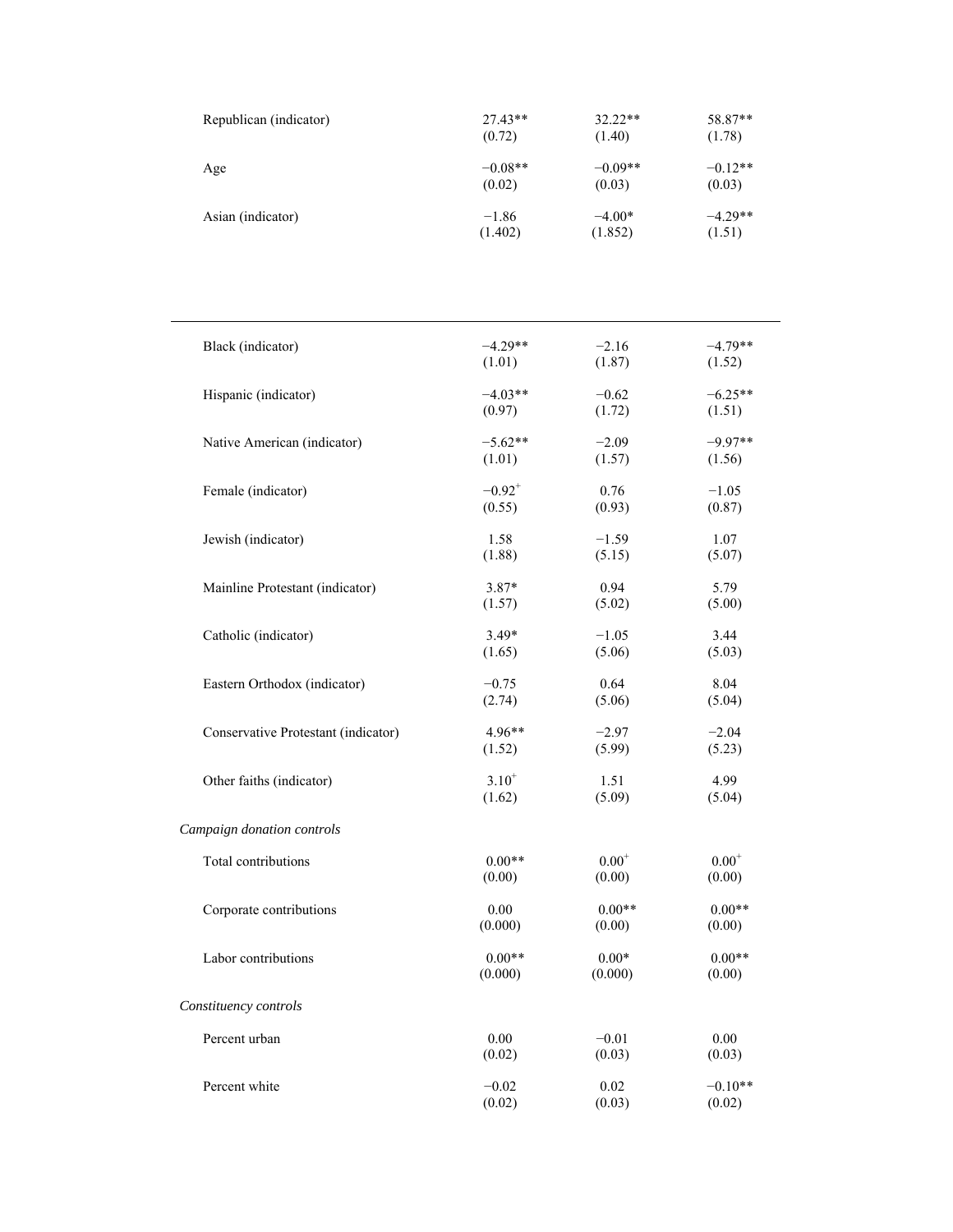| Republican (indicator) | $27.43**$ | $32.22**$ | 58.87**   |
|------------------------|-----------|-----------|-----------|
|                        | (0.72)    | (1.40)    | (1.78)    |
| Age                    | $-0.08**$ | $-0.09**$ | $-0.12**$ |
|                        | (0.02)    | (0.03)    | (0.03)    |
| Asian (indicator)      | $-1.86$   | $-4.00*$  | $-4.29**$ |
|                        | (1.402)   | (1.852)   | (1.51)    |

| Black (indicator)                   | $-4.29**$   | $-2.16$    | $-4.79**$  |
|-------------------------------------|-------------|------------|------------|
|                                     | (1.01)      | (1.87)     | (1.52)     |
| Hispanic (indicator)                | $-4.03**$   | $-0.62$    | $-6.25**$  |
|                                     | (0.97)      | (1.72)     | (1.51)     |
| Native American (indicator)         | $-5.62**$   | $-2.09$    | $-9.97**$  |
|                                     | (1.01)      | (1.57)     | (1.56)     |
| Female (indicator)                  | $-0.92^{+}$ | 0.76       | $-1.05$    |
|                                     | (0.55)      | (0.93)     | (0.87)     |
| Jewish (indicator)                  | 1.58        | $-1.59$    | 1.07       |
|                                     | (1.88)      | (5.15)     | (5.07)     |
| Mainline Protestant (indicator)     | $3.87*$     | 0.94       | 5.79       |
|                                     | (1.57)      | (5.02)     | (5.00)     |
| Catholic (indicator)                | $3.49*$     | $-1.05$    | 3.44       |
|                                     | (1.65)      | (5.06)     | (5.03)     |
| Eastern Orthodox (indicator)        | $-0.75$     | 0.64       | 8.04       |
|                                     | (2.74)      | (5.06)     | (5.04)     |
| Conservative Protestant (indicator) | $4.96**$    | $-2.97$    | $-2.04$    |
|                                     | (1.52)      | (5.99)     | (5.23)     |
| Other faiths (indicator)            | $3.10^{+}$  | 1.51       | 4.99       |
|                                     | (1.62)      | (5.09)     | (5.04)     |
| Campaign donation controls          |             |            |            |
| Total contributions                 | $0.00**$    | $0.00^{+}$ | $0.00^{+}$ |
|                                     | (0.00)      | (0.00)     | (0.00)     |
| Corporate contributions             | 0.00        | $0.00**$   | $0.00**$   |
|                                     | (0.000)     | (0.00)     | (0.00)     |
| Labor contributions                 | $0.00**$    | $0.00*$    | $0.00**$   |
|                                     | (0.000)     | (0.000)    | (0.00)     |
| Constituency controls               |             |            |            |
| Percent urban                       | 0.00        | $-0.01$    | 0.00       |
|                                     | (0.02)      | (0.03)     | (0.03)     |
| Percent white                       | $-0.02$     | 0.02       | $-0.10**$  |
|                                     | (0.02)      | (0.03)     | (0.02)     |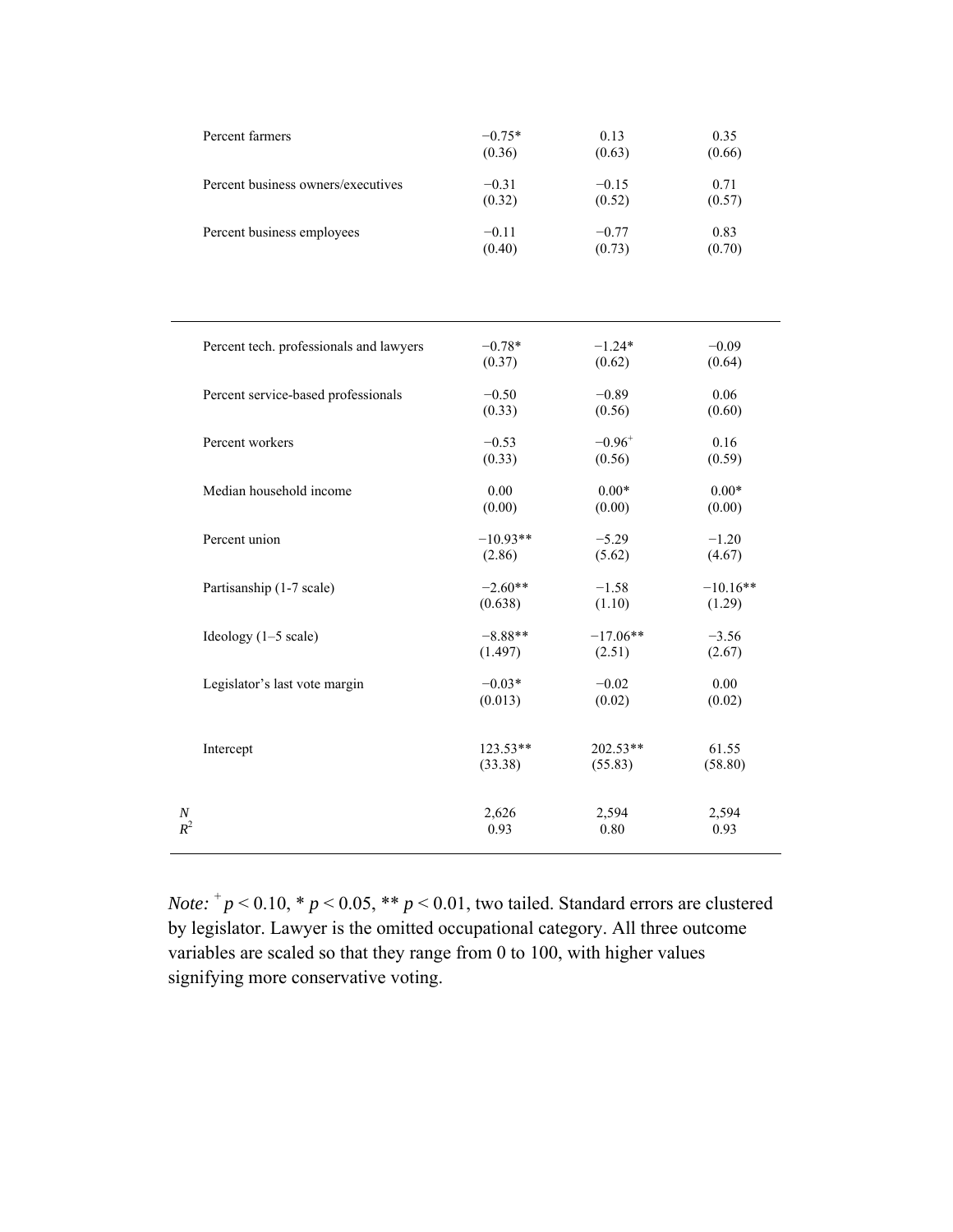| Percent farmers                         | $-0.75*$ | 0.13        | 0.35    |
|-----------------------------------------|----------|-------------|---------|
|                                         | (0.36)   | (0.63)      | (0.66)  |
| Percent business owners/executives      | $-0.31$  | $-0.15$     | 0.71    |
|                                         | (0.32)   | (0.52)      | (0.57)  |
| Percent business employees              | $-0.11$  | $-0.77$     | 0.83    |
|                                         | (0.40)   | (0.73)      | (0.70)  |
|                                         |          |             |         |
| Percent tech. professionals and lawyers | $-0.78*$ | $-1.24*$    | $-0.09$ |
|                                         | (0.37)   | (0.62)      | (0.64)  |
| Percent service-based professionals     | $-0.50$  | $-0.89$     | 0.06    |
|                                         | (0.33)   | (0.56)      | (0.60)  |
|                                         |          |             |         |
| Percent workers                         | $-0.53$  | $-0.96^{+}$ | 0.16    |
|                                         | (0.33)   | (0.56)      | (0.59)  |

Percent union  $-10.93**$   $-5.29$   $-1.20$ <br> $(2.86)$   $(5.62)$   $(4.67)$ 

Partisanship (1-7 scale)  $-2.60**$  -1.58 -10.16<sup>\*\*</sup>

Ideology (1–5 scale)  $-8.88** -17.06** -3.56$ 

Legislator's last vote margin  $-0.03*$   $-0.02$  0.00

Intercept 123.53\*\* 202.53\*\* 61.55<br>
(33.38) (55.83) (58.80)

*N* 2,594 2,594 2,594 *R*<sup>2</sup> 0.93 0.80 0.93

 $(5.62)$ 

 $(0.638)$   $(1.10)$   $(1.29)$ 

 $(1.497)$   $(2.51)$   $(2.67)$ 

 $(0.013)$   $(0.02)$   $(0.02)$ 

 $(55.83)$   $(58.80)$ 

| <i>Note:</i> $p < 0.10$ , * $p < 0.05$ , ** $p < 0.01$ , two tailed. Standard errors are clustered |
|----------------------------------------------------------------------------------------------------|
| by legislator. Lawyer is the omitted occupational category. All three outcome                      |
| variables are scaled so that they range from 0 to 100, with higher values                          |
| signifying more conservative voting.                                                               |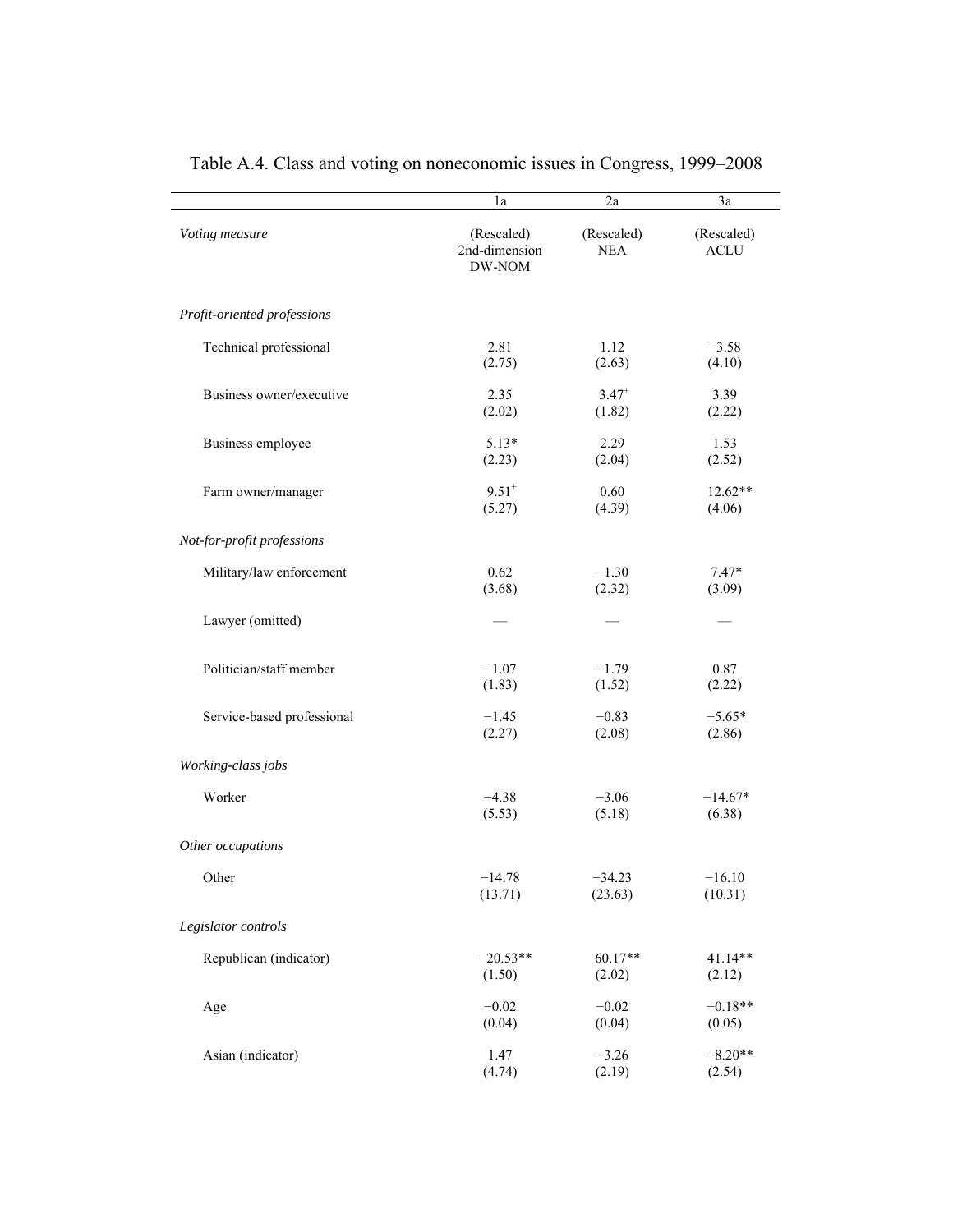|                             | 1a                                    | 2a                       | 3a                        |
|-----------------------------|---------------------------------------|--------------------------|---------------------------|
| Voting measure              | (Rescaled)<br>2nd-dimension<br>DW-NOM | (Rescaled)<br><b>NEA</b> | (Rescaled)<br><b>ACLU</b> |
| Profit-oriented professions |                                       |                          |                           |
| Technical professional      | 2.81                                  | 1.12                     | $-3.58$                   |
|                             | (2.75)                                | (2.63)                   | (4.10)                    |
| Business owner/executive    | 2.35                                  | $3.47$ <sup>+</sup>      | 3.39                      |
|                             | (2.02)                                | (1.82)                   | (2.22)                    |
| Business employee           | $5.13*$                               | 2.29                     | 1.53                      |
|                             | (2.23)                                | (2.04)                   | (2.52)                    |
| Farm owner/manager          | $9.51$ <sup>+</sup>                   | 0.60                     | 12.62**                   |
|                             | (5.27)                                | (4.39)                   | (4.06)                    |
| Not-for-profit professions  |                                       |                          |                           |
| Military/law enforcement    | 0.62                                  | $-1.30$                  | $7.47*$                   |
|                             | (3.68)                                | (2.32)                   | (3.09)                    |
| Lawyer (omitted)            |                                       |                          |                           |
| Politician/staff member     | $-1.07$                               | $-1.79$                  | 0.87                      |
|                             | (1.83)                                | (1.52)                   | (2.22)                    |
| Service-based professional  | $-1.45$                               | $-0.83$                  | $-5.65*$                  |
|                             | (2.27)                                | (2.08)                   | (2.86)                    |
| Working-class jobs          |                                       |                          |                           |
| Worker                      | $-4.38$                               | $-3.06$                  | $-14.67*$                 |
|                             | (5.53)                                | (5.18)                   | (6.38)                    |
| Other occupations           |                                       |                          |                           |
| Other                       | $-14.78$                              | $-34.23$                 | $-16.10$                  |
|                             | (13.71)                               | (23.63)                  | (10.31)                   |
| Legislator controls         |                                       |                          |                           |
| Republican (indicator)      | $-20.53**$                            | 60.17**                  | 41.14**                   |
|                             | (1.50)                                | (2.02)                   | (2.12)                    |
| Age                         | $-0.02$                               | $-0.02$                  | $-0.18**$                 |
|                             | (0.04)                                | (0.04)                   | (0.05)                    |
| Asian (indicator)           | 1.47                                  | $-3.26$                  | $-8.20**$                 |
|                             | (4.74)                                | (2.19)                   | (2.54)                    |

Table A.4. Class and voting on noneconomic issues in Congress, 1999–2008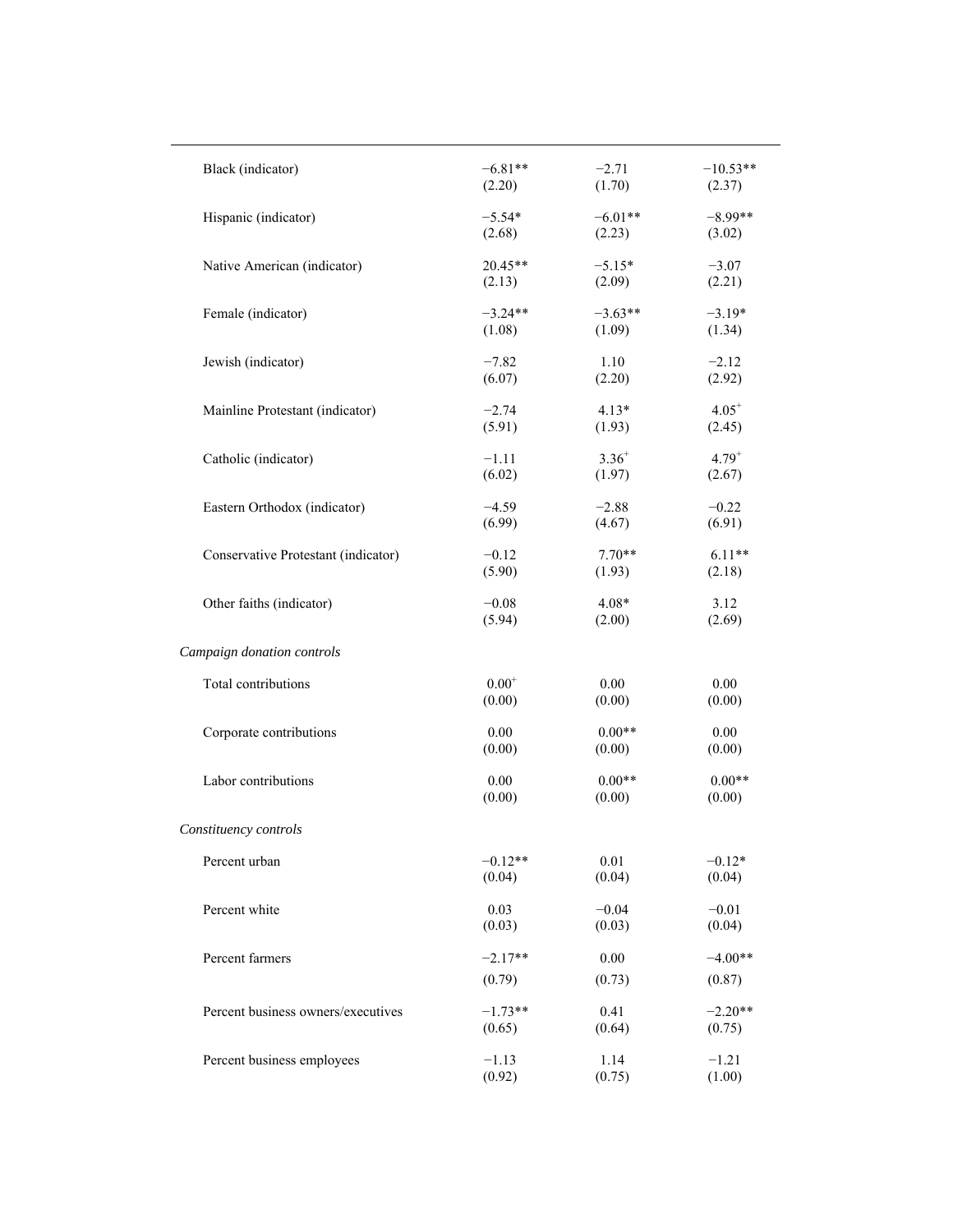| Black (indicator)                   | $-6.81**$  | $-2.71$    | $-10.53**$ |
|-------------------------------------|------------|------------|------------|
|                                     | (2.20)     | (1.70)     | (2.37)     |
| Hispanic (indicator)                | $-5.54*$   | $-6.01**$  | $-8.99**$  |
|                                     | (2.68)     | (2.23)     | (3.02)     |
| Native American (indicator)         | 20.45**    | $-5.15*$   | $-3.07$    |
|                                     | (2.13)     | (2.09)     | (2.21)     |
| Female (indicator)                  | $-3.24**$  | $-3.63**$  | $-3.19*$   |
|                                     | (1.08)     | (1.09)     | (1.34)     |
| Jewish (indicator)                  | $-7.82$    | 1.10       | $-2.12$    |
|                                     | (6.07)     | (2.20)     | (2.92)     |
| Mainline Protestant (indicator)     | $-2.74$    | $4.13*$    | $4.05^+$   |
|                                     | (5.91)     | (1.93)     | (2.45)     |
| Catholic (indicator)                | $-1.11$    | $3.36^{+}$ | $4.79^{+}$ |
|                                     | (6.02)     | (1.97)     | (2.67)     |
| Eastern Orthodox (indicator)        | $-4.59$    | $-2.88$    | $-0.22$    |
|                                     | (6.99)     | (4.67)     | (6.91)     |
| Conservative Protestant (indicator) | $-0.12$    | $7.70**$   | $6.11**$   |
|                                     | (5.90)     | (1.93)     | (2.18)     |
| Other faiths (indicator)            | $-0.08$    | $4.08*$    | 3.12       |
|                                     | (5.94)     | (2.00)     | (2.69)     |
| Campaign donation controls          |            |            |            |
| Total contributions                 | $0.00^{+}$ | 0.00       | 0.00       |
|                                     | (0.00)     | (0.00)     | (0.00)     |
| Corporate contributions             | 0.00       | $0.00**$   | 0.00       |
|                                     | (0.00)     | (0.00)     | (0.00)     |
| Labor contributions                 | 0.00       | $0.00**$   | $0.00**$   |
|                                     | (0.00)     | (0.00)     | (0.00)     |
| Constituency controls               |            |            |            |
| Percent urban                       | $-0.12**$  | 0.01       | $-0.12*$   |
|                                     | (0.04)     | (0.04)     | (0.04)     |
| Percent white                       | 0.03       | $-0.04$    | $-0.01$    |
|                                     | (0.03)     | (0.03)     | (0.04)     |
| Percent farmers                     | $-2.17**$  | $0.00\,$   | $-4.00**$  |
|                                     | (0.79)     | (0.73)     | (0.87)     |
| Percent business owners/executives  | $-1.73**$  | 0.41       | $-2.20**$  |
|                                     | (0.65)     | (0.64)     | (0.75)     |
| Percent business employees          | $-1.13$    | 1.14       | $-1.21$    |
|                                     | (0.92)     | (0.75)     | (1.00)     |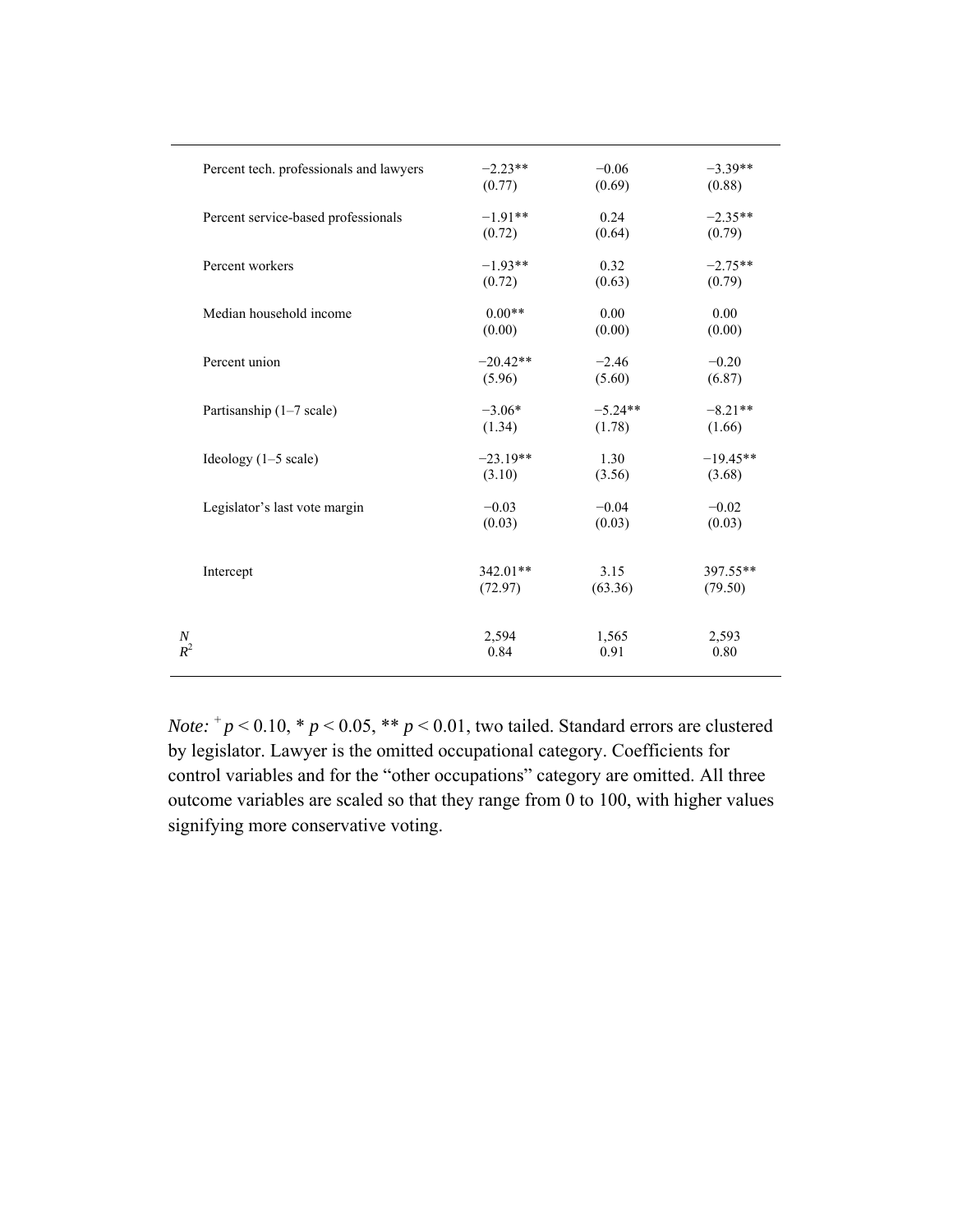| Percent tech. professionals and lawyers | $-2.23**$  | $-0.06$   | $-3.39**$  |
|-----------------------------------------|------------|-----------|------------|
|                                         | (0.77)     | (0.69)    | (0.88)     |
| Percent service-based professionals     | $-1.91**$  | 0.24      | $-2.35**$  |
|                                         | (0.72)     | (0.64)    | (0.79)     |
| Percent workers                         | $-1.93**$  | 0.32      | $-2.75**$  |
|                                         | (0.72)     | (0.63)    | (0.79)     |
| Median household income                 | $0.00**$   | 0.00      | 0.00       |
|                                         | (0.00)     | (0.00)    | (0.00)     |
| Percent union                           | $-20.42**$ | $-2.46$   | $-0.20$    |
|                                         | (5.96)     | (5.60)    | (6.87)     |
| Partisanship (1-7 scale)                | $-3.06*$   | $-5.24**$ | $-8.21**$  |
|                                         | (1.34)     | (1.78)    | (1.66)     |
| Ideology $(1-5 \text{ scale})$          | $-23.19**$ | 1.30      | $-19.45**$ |
|                                         | (3.10)     | (3.56)    | (3.68)     |
| Legislator's last vote margin           | $-0.03$    | $-0.04$   | $-0.02$    |
|                                         | (0.03)     | (0.03)    | (0.03)     |
| Intercept                               | 342.01**   | 3.15      | 397.55**   |
|                                         | (72.97)    | (63.36)   | (79.50)    |
| $\boldsymbol{N}$                        | 2,594      | 1,565     | 2,593      |
| $R^2$                                   | 0.84       | 0.91      | 0.80       |

*Note:*  $^+p$  < 0.10,  $^*p$  < 0.05,  $^{**}p$  < 0.01, two tailed. Standard errors are clustered by legislator. Lawyer is the omitted occupational category. Coefficients for control variables and for the "other occupations" category are omitted. All three outcome variables are scaled so that they range from 0 to 100, with higher values signifying more conservative voting.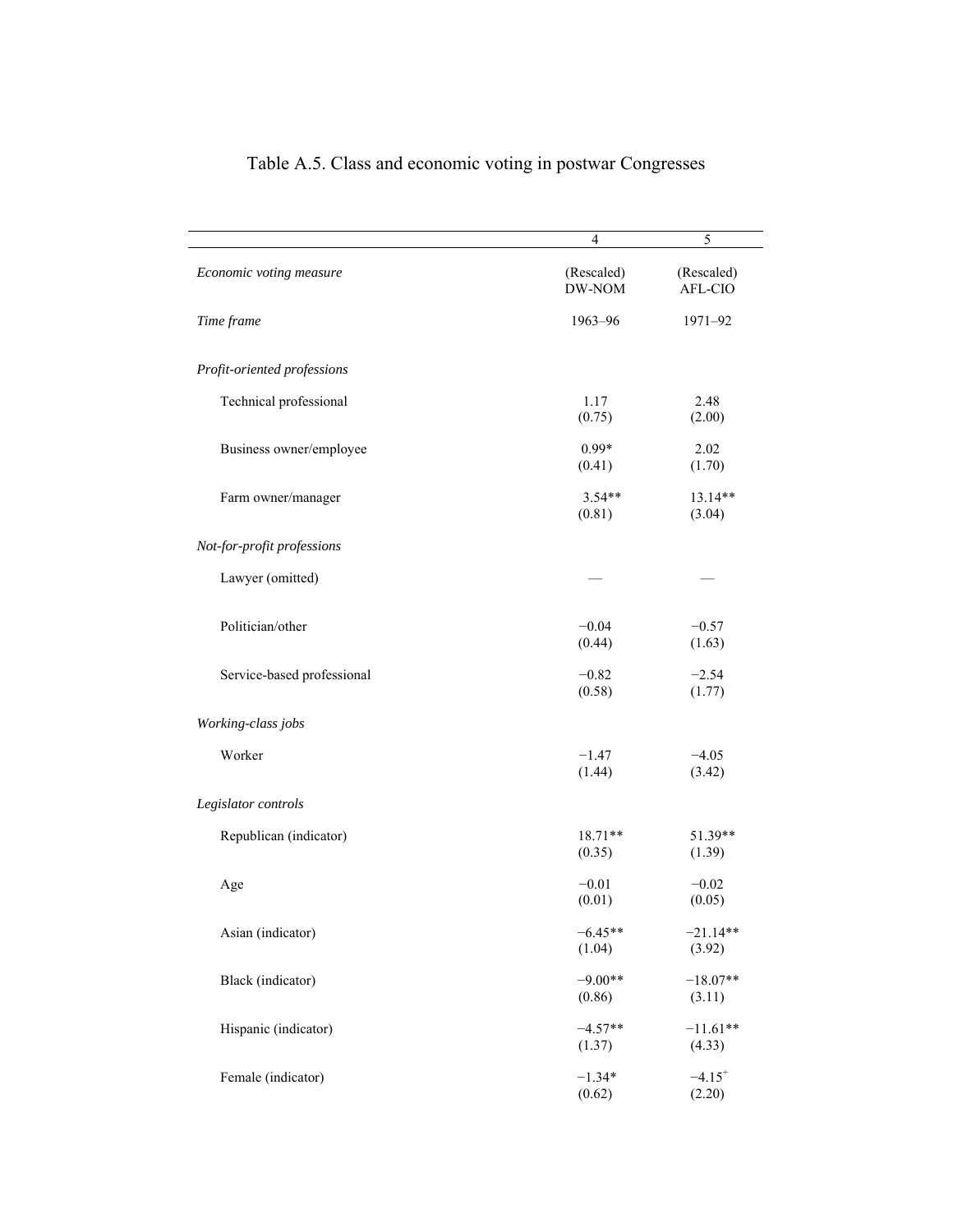|                             | 4                    | 5                              |
|-----------------------------|----------------------|--------------------------------|
| Economic voting measure     | (Rescaled)<br>DW-NOM | (Rescaled)<br>AFL-CIO          |
| Time frame                  | 1963-96              | 1971-92                        |
| Profit-oriented professions |                      |                                |
| Technical professional      | 1.17<br>(0.75)       | 2.48<br>(2.00)                 |
| Business owner/employee     | $0.99*$<br>(0.41)    | 2.02<br>(1.70)                 |
| Farm owner/manager          | $3.54**$<br>(0.81)   | 13.14**<br>(3.04)              |
| Not-for-profit professions  |                      |                                |
| Lawyer (omitted)            |                      |                                |
| Politician/other            | $-0.04$<br>(0.44)    | $-0.57$<br>(1.63)              |
| Service-based professional  | $-0.82$<br>(0.58)    | $-2.54$<br>(1.77)              |
| Working-class jobs          |                      |                                |
| Worker                      | $-1.47$<br>(1.44)    | $-4.05$<br>(3.42)              |
| Legislator controls         |                      |                                |
| Republican (indicator)      | 18.71**<br>(0.35)    | 51.39**<br>(1.39)              |
| Age                         | $-0.01$<br>(0.01)    | $-0.02$<br>(0.05)              |
| Asian (indicator)           | $-6.45**$<br>(1.04)  | $-21.14**$<br>(3.92)           |
| Black (indicator)           | $-9.00**$<br>(0.86)  | $-18.07**$<br>(3.11)           |
| Hispanic (indicator)        | $-4.57**$<br>(1.37)  | $-11.61**$<br>(4.33)           |
| Female (indicator)          | $-1.34*$<br>(0.62)   | $-4.15$ <sup>+</sup><br>(2.20) |

# Table A.5. Class and economic voting in postwar Congresses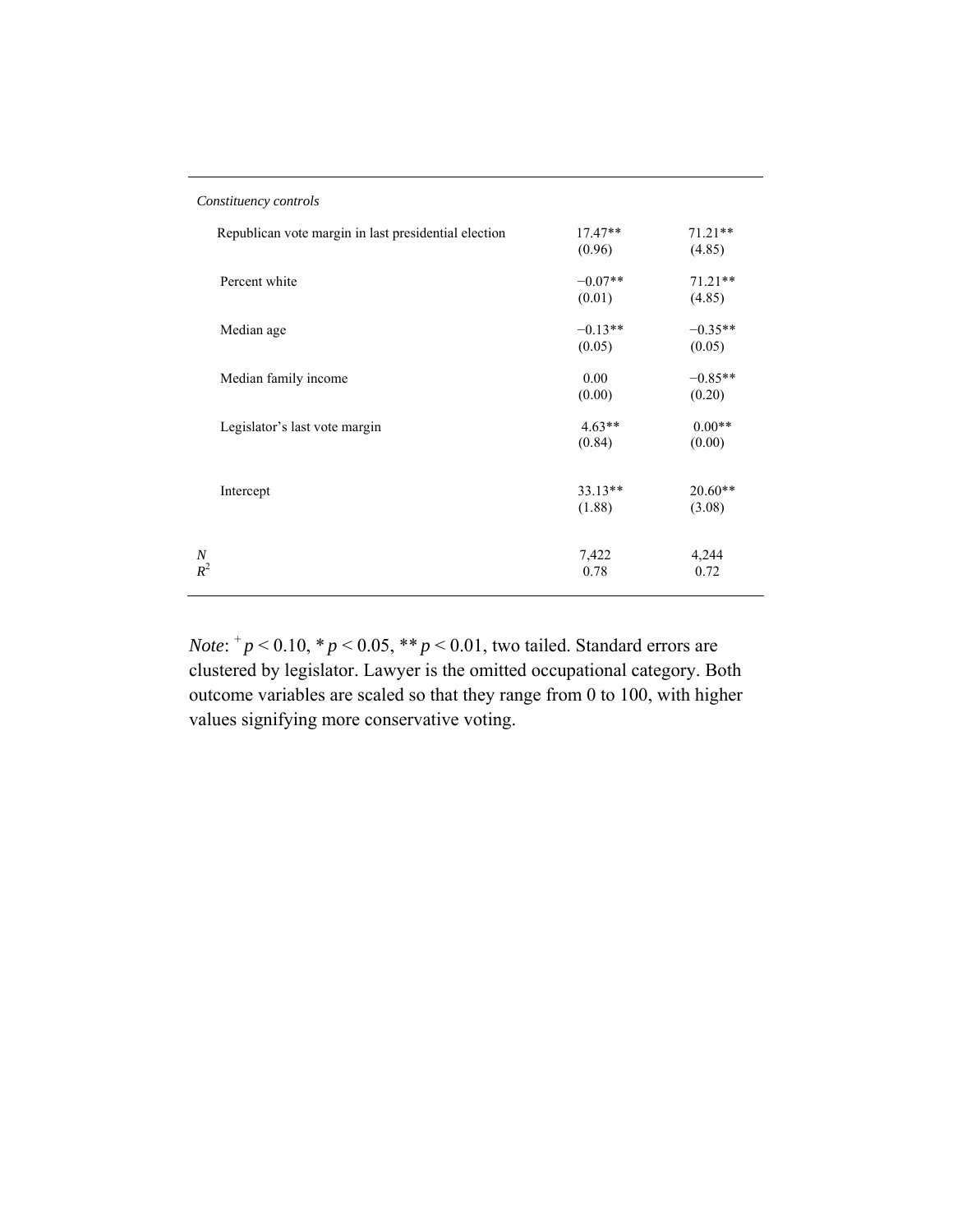| Constituency controls                                |                     |                     |
|------------------------------------------------------|---------------------|---------------------|
| Republican vote margin in last presidential election | $17.47**$<br>(0.96) | $71.21**$<br>(4.85) |
| Percent white                                        | $-0.07**$<br>(0.01) | $71.21**$<br>(4.85) |
| Median age                                           | $-0.13**$<br>(0.05) | $-0.35**$<br>(0.05) |
| Median family income                                 | 0.00<br>(0.00)      | $-0.85**$<br>(0.20) |
| Legislator's last vote margin                        | $4.63**$<br>(0.84)  | $0.00**$<br>(0.00)  |
| Intercept                                            | $33.13**$<br>(1.88) | $20.60**$<br>(3.08) |
| $\boldsymbol{N}$<br>$R^2$                            | 7,422<br>0.78       | 4,244<br>0.72       |

*Note*:  $^{+}p$  < 0.10,  $^{*}p$  < 0.05,  $^{**}p$  < 0.01, two tailed. Standard errors are clustered by legislator. Lawyer is the omitted occupational category. Both outcome variables are scaled so that they range from 0 to 100, with higher values signifying more conservative voting.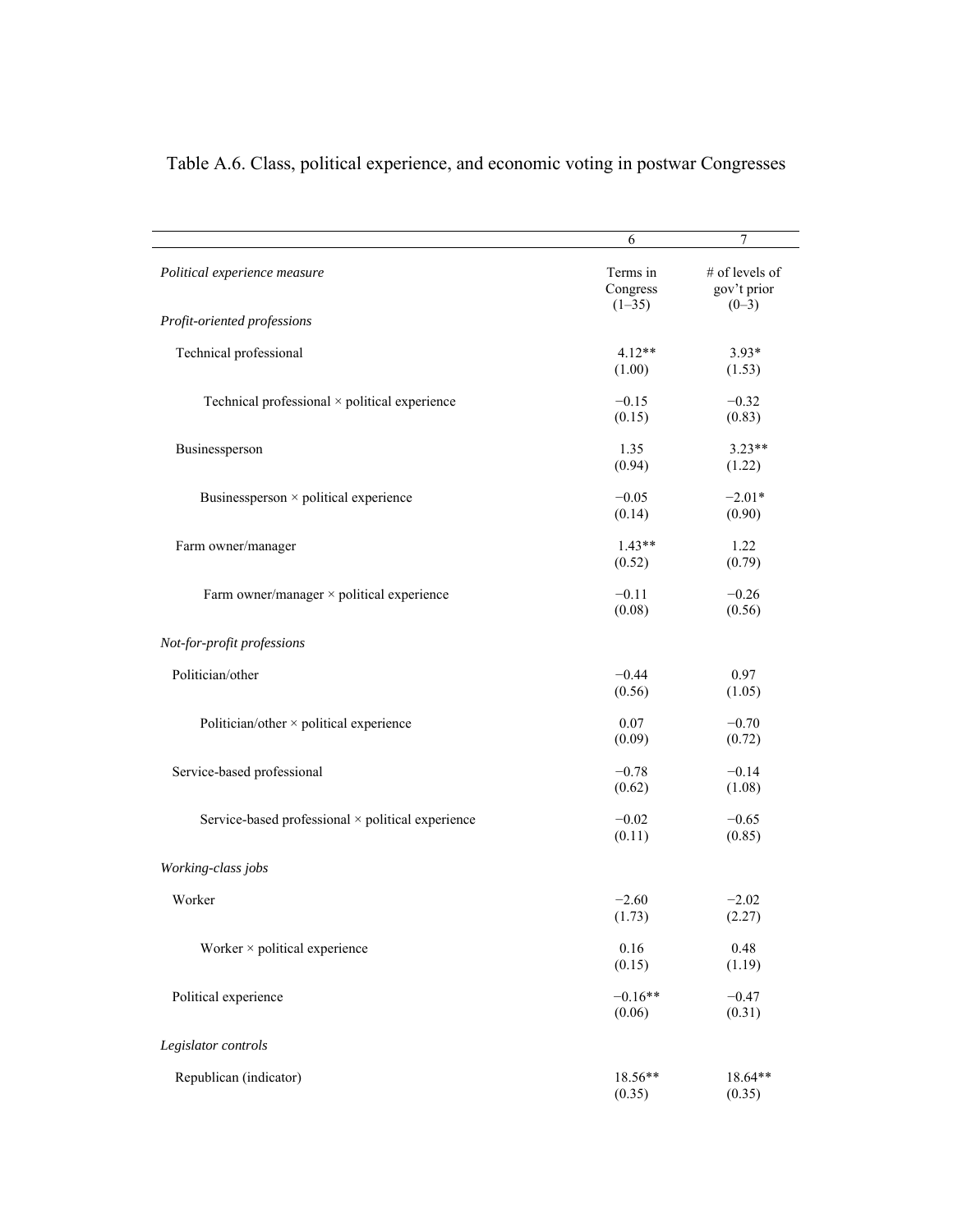|                                                      | 6                                | 7                                        |
|------------------------------------------------------|----------------------------------|------------------------------------------|
| Political experience measure                         | Terms in<br>Congress<br>$(1-35)$ | # of levels of<br>gov't prior<br>$(0-3)$ |
| Profit-oriented professions                          |                                  |                                          |
| Technical professional                               | $4.12**$<br>(1.00)               | $3.93*$<br>(1.53)                        |
| Technical professional $\times$ political experience | $-0.15$<br>(0.15)                | $-0.32$<br>(0.83)                        |
| Businessperson                                       | 1.35<br>(0.94)                   | $3.23**$<br>(1.22)                       |
| Businessperson × political experience                | $-0.05$<br>(0.14)                | $-2.01*$<br>(0.90)                       |
| Farm owner/manager                                   | $1.43**$<br>(0.52)               | 1.22<br>(0.79)                           |
| Farm owner/manager $\times$ political experience     | $-0.11$<br>(0.08)                | $-0.26$<br>(0.56)                        |
| Not-for-profit professions                           |                                  |                                          |
| Politician/other                                     | $-0.44$<br>(0.56)                | 0.97<br>(1.05)                           |
| Politician/other $\times$ political experience       | 0.07<br>(0.09)                   | $-0.70$<br>(0.72)                        |
| Service-based professional                           | $-0.78$<br>(0.62)                | $-0.14$<br>(1.08)                        |
| Service-based professional × political experience    | $-0.02$<br>(0.11)                | $-0.65$<br>(0.85)                        |
| Working-class jobs                                   |                                  |                                          |
| Worker                                               | $-2.60$<br>(1.73)                | $-2.02$<br>(2.27)                        |
| Worker $\times$ political experience                 | 0.16<br>(0.15)                   | 0.48<br>(1.19)                           |
| Political experience                                 | $-0.16**$<br>(0.06)              | $-0.47$<br>(0.31)                        |
| Legislator controls                                  |                                  |                                          |
| Republican (indicator)                               | 18.56**<br>(0.35)                | 18.64**<br>(0.35)                        |

Table A.6. Class, political experience, and economic voting in postwar Congresses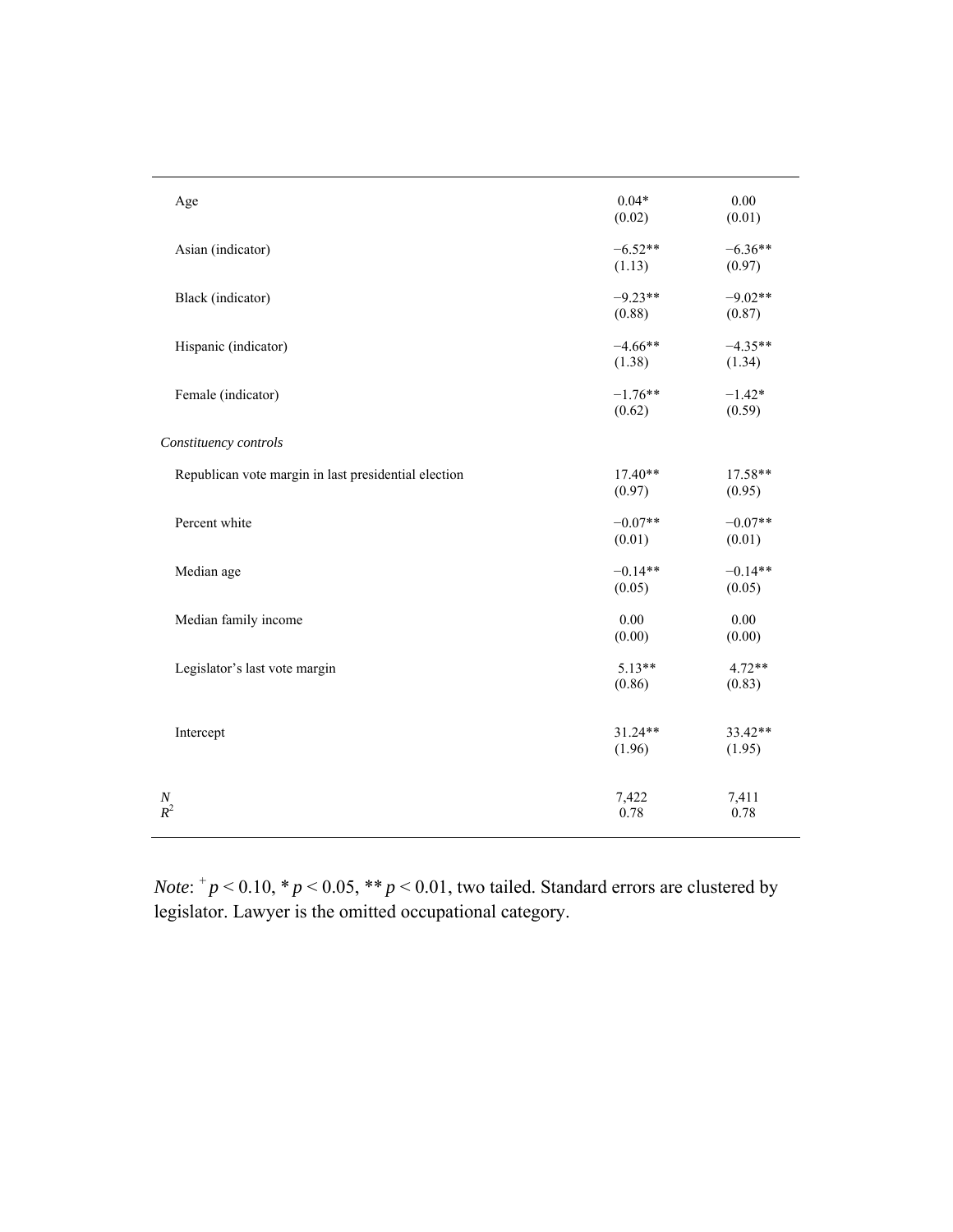| Age                                                  | $0.04*$<br>(0.02)   | 0.00<br>(0.01)      |
|------------------------------------------------------|---------------------|---------------------|
| Asian (indicator)                                    | $-6.52**$<br>(1.13) | $-6.36**$<br>(0.97) |
| Black (indicator)                                    | $-9.23**$<br>(0.88) | $-9.02**$<br>(0.87) |
| Hispanic (indicator)                                 | $-4.66**$<br>(1.38) | $-4.35**$<br>(1.34) |
| Female (indicator)                                   | $-1.76**$<br>(0.62) | $-1.42*$<br>(0.59)  |
| Constituency controls                                |                     |                     |
| Republican vote margin in last presidential election | $17.40**$<br>(0.97) | 17.58**<br>(0.95)   |
| Percent white                                        | $-0.07**$<br>(0.01) | $-0.07**$<br>(0.01) |
| Median age                                           | $-0.14**$<br>(0.05) | $-0.14**$<br>(0.05) |
| Median family income                                 | 0.00<br>(0.00)      | 0.00<br>(0.00)      |
| Legislator's last vote margin                        | $5.13**$<br>(0.86)  | $4.72**$<br>(0.83)  |
| Intercept                                            | $31.24**$<br>(1.96) | 33.42**<br>(1.95)   |
| $\frac{N}{R^2}$                                      | 7,422<br>0.78       | 7,411<br>0.78       |

*Note*:  $^{+}p$  < 0.10,  $^{*}p$  < 0.05,  $^{**}p$  < 0.01, two tailed. Standard errors are clustered by legislator. Lawyer is the omitted occupational category.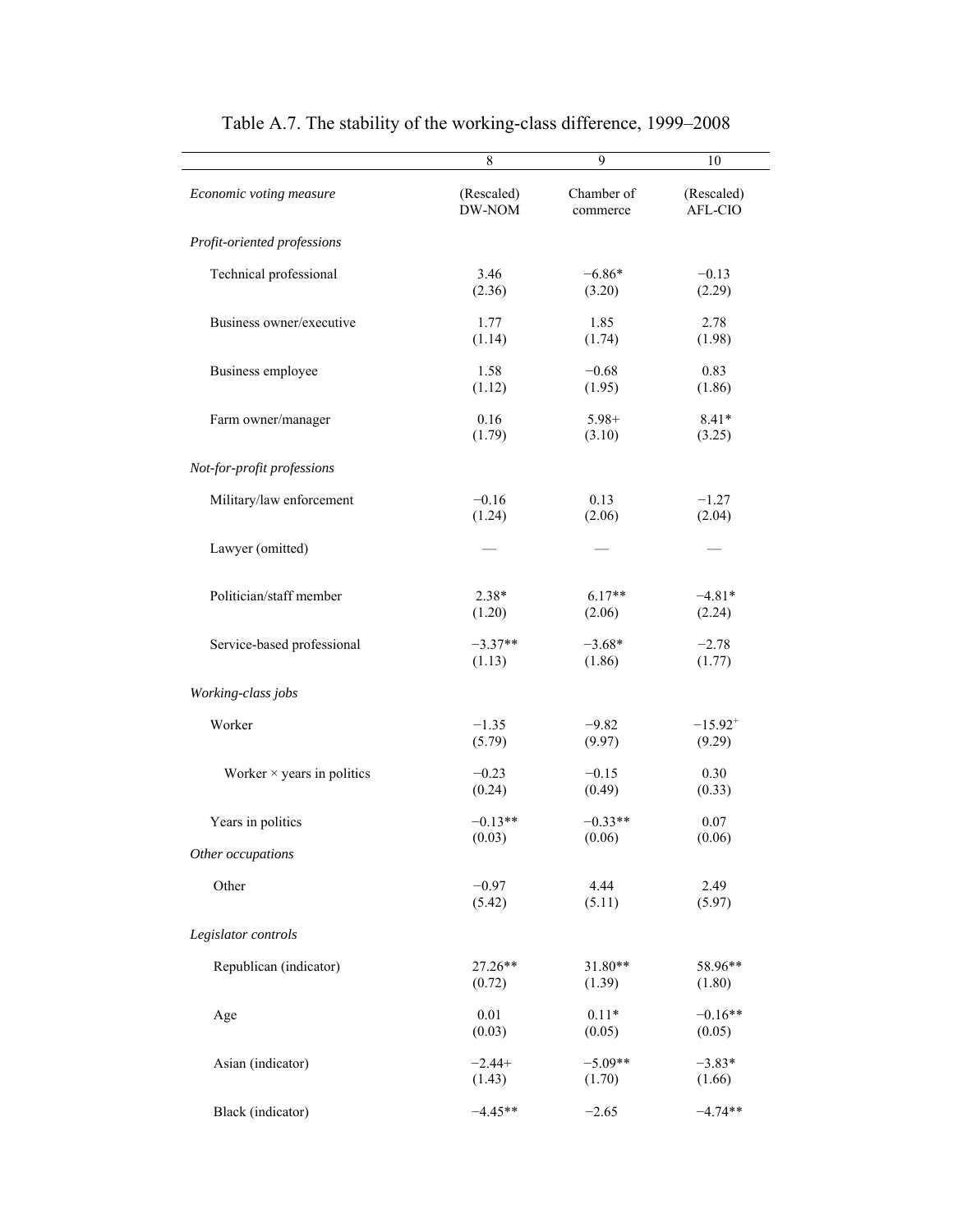|                                   | 8          | 9          | 10           |
|-----------------------------------|------------|------------|--------------|
| Economic voting measure           | (Rescaled) | Chamber of | (Rescaled)   |
|                                   | DW-NOM     | commerce   | AFL-CIO      |
| Profit-oriented professions       |            |            |              |
| Technical professional            | 3.46       | $-6.86*$   | $-0.13$      |
|                                   | (2.36)     | (3.20)     | (2.29)       |
| Business owner/executive          | 1.77       | 1.85       | 2.78         |
|                                   | (1.14)     | (1.74)     | (1.98)       |
| Business employee                 | 1.58       | $-0.68$    | 0.83         |
|                                   | (1.12)     | (1.95)     | (1.86)       |
| Farm owner/manager                | 0.16       | $5.98+$    | $8.41*$      |
|                                   | (1.79)     | (3.10)     | (3.25)       |
| Not-for-profit professions        |            |            |              |
| Military/law enforcement          | $-0.16$    | 0.13       | $-1.27$      |
|                                   | (1.24)     | (2.06)     | (2.04)       |
| Lawyer (omitted)                  |            |            |              |
| Politician/staff member           | $2.38*$    | $6.17**$   | $-4.81*$     |
|                                   | (1.20)     | (2.06)     | (2.24)       |
| Service-based professional        | $-3.37**$  | $-3.68*$   | $-2.78$      |
|                                   | (1.13)     | (1.86)     | (1.77)       |
| Working-class jobs                |            |            |              |
| Worker                            | $-1.35$    | $-9.82$    | $-15.92^{+}$ |
|                                   | (5.79)     | (9.97)     | (9.29)       |
| Worker $\times$ years in politics | $-0.23$    | $-0.15$    | 0.30         |
|                                   | (0.24)     | (0.49)     | (0.33)       |
| Years in politics                 | $-0.13**$  | $-0.33**$  | 0.07         |
|                                   | (0.03)     | (0.06)     | (0.06)       |
| Other occupations                 |            |            |              |
| Other                             | $-0.97$    | 4.44       | 2.49         |
|                                   | (5.42)     | (5.11)     | (5.97)       |
| Legislator controls               |            |            |              |
| Republican (indicator)            | 27.26**    | 31.80**    | 58.96**      |
|                                   | (0.72)     | (1.39)     | (1.80)       |
| Age                               | 0.01       | $0.11*$    | $-0.16**$    |
|                                   | (0.03)     | (0.05)     | (0.05)       |
| Asian (indicator)                 | $-2.44+$   | $-5.09**$  | $-3.83*$     |
|                                   | (1.43)     | (1.70)     | (1.66)       |
| Black (indicator)                 | $-4.45**$  | $-2.65$    | $-4.74**$    |

Table A.7. The stability of the working-class difference, 1999–2008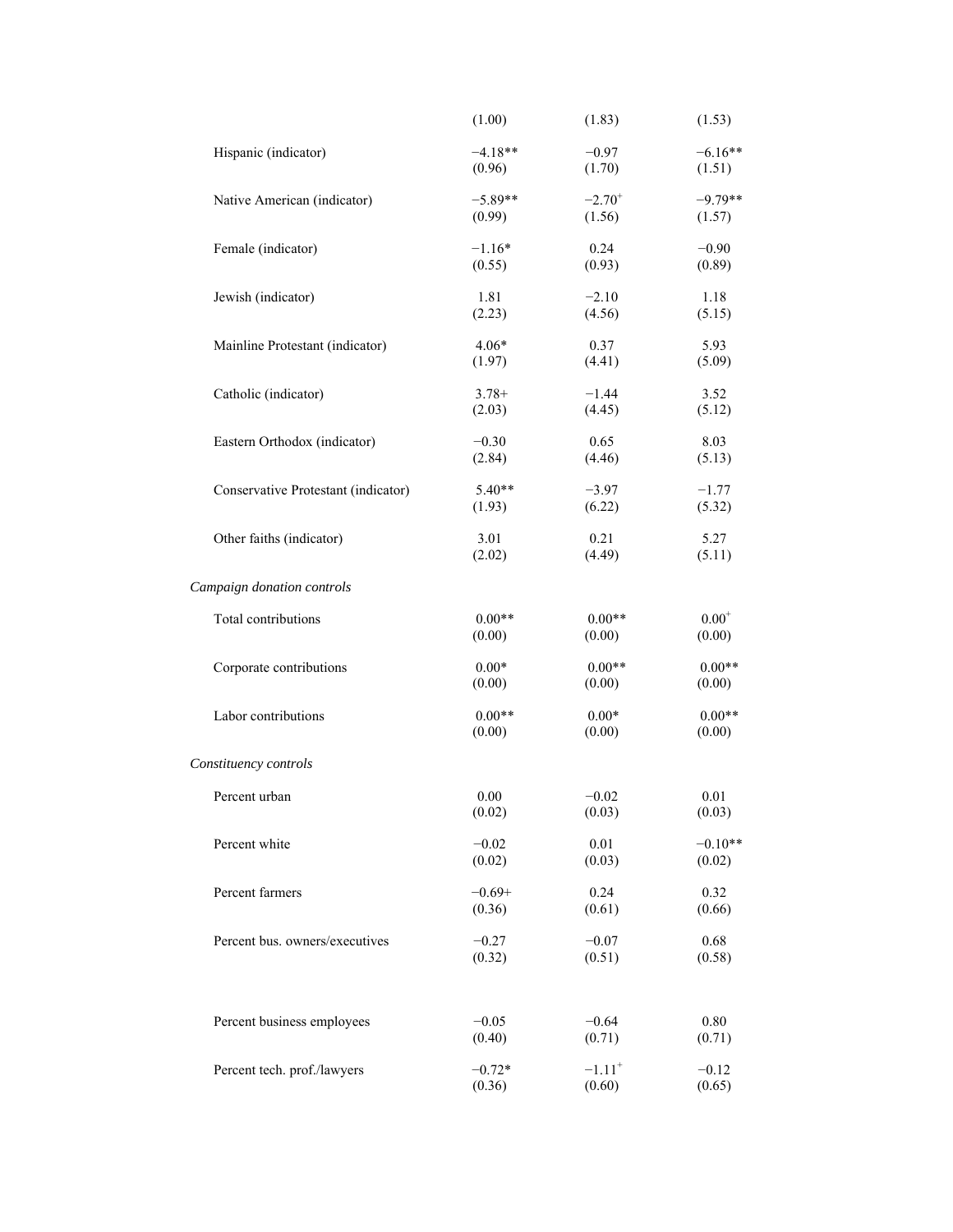|                                     | (1.00)    | (1.83)               | (1.53)       |
|-------------------------------------|-----------|----------------------|--------------|
| Hispanic (indicator)                | $-4.18**$ | $-0.97$              | $-6.16**$    |
|                                     | (0.96)    | (1.70)               | (1.51)       |
| Native American (indicator)         | $-5.89**$ | $-2.70^{+}$          | $-9.79**$    |
|                                     | (0.99)    | (1.56)               | (1.57)       |
| Female (indicator)                  | $-1.16*$  | 0.24                 | $-0.90$      |
|                                     | (0.55)    | (0.93)               | (0.89)       |
| Jewish (indicator)                  | 1.81      | $-2.10$              | 1.18         |
|                                     | (2.23)    | (4.56)               | (5.15)       |
| Mainline Protestant (indicator)     | $4.06*$   | 0.37                 | 5.93         |
|                                     | (1.97)    | (4.41)               | (5.09)       |
| Catholic (indicator)                | $3.78+$   | $-1.44$              | 3.52         |
|                                     | (2.03)    | (4.45)               | (5.12)       |
| Eastern Orthodox (indicator)        | $-0.30$   | 0.65                 | 8.03         |
|                                     | (2.84)    | (4.46)               | (5.13)       |
| Conservative Protestant (indicator) | $5.40**$  | $-3.97$              | $-1.77$      |
|                                     | (1.93)    | (6.22)               | (5.32)       |
| Other faiths (indicator)            | 3.01      | 0.21                 | 5.27         |
|                                     | (2.02)    | (4.49)               | (5.11)       |
| Campaign donation controls          |           |                      |              |
| Total contributions                 | $0.00**$  | $0.00**$             | $0.00^\circ$ |
|                                     | (0.00)    | (0.00)               | (0.00)       |
| Corporate contributions             | $0.00*$   | $0.00**$             | $0.00**$     |
|                                     | (0.00)    | (0.00)               | (0.00)       |
| Labor contributions                 | $0.00**$  | $0.00*$              | $0.00**$     |
|                                     | (0.00)    | (0.00)               | (0.00)       |
| Constituency controls               |           |                      |              |
| Percent urban                       | 0.00      | $-0.02$              | 0.01         |
|                                     | (0.02)    | (0.03)               | (0.03)       |
| Percent white                       | $-0.02$   | 0.01                 | $-0.10**$    |
|                                     | (0.02)    | (0.03)               | (0.02)       |
| Percent farmers                     | $-0.69+$  | 0.24                 | 0.32         |
|                                     | (0.36)    | (0.61)               | (0.66)       |
| Percent bus. owners/executives      | $-0.27$   | $-0.07$              | 0.68         |
|                                     | (0.32)    | (0.51)               | (0.58)       |
| Percent business employees          | $-0.05$   | $-0.64$              | 0.80         |
|                                     | (0.40)    | (0.71)               | (0.71)       |
| Percent tech. prof./lawyers         | $-0.72*$  | $-1.11$ <sup>+</sup> | $-0.12$      |
|                                     | (0.36)    | (0.60)               | (0.65)       |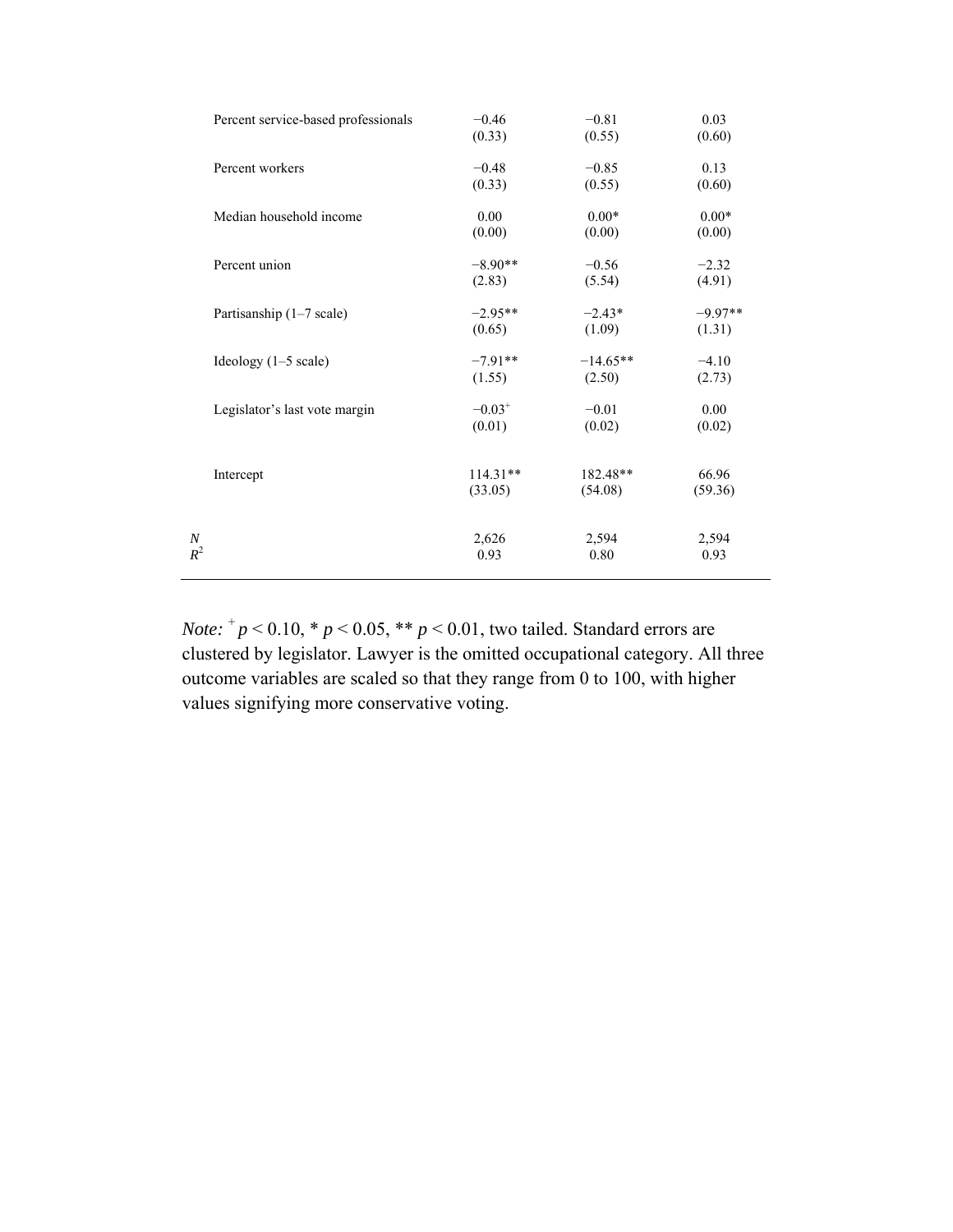| Percent service-based professionals | $-0.46$              | $-0.81$    | 0.03      |
|-------------------------------------|----------------------|------------|-----------|
|                                     | (0.33)               | (0.55)     | (0.60)    |
| Percent workers                     | $-0.48$              | $-0.85$    | 0.13      |
|                                     | (0.33)               | (0.55)     | (0.60)    |
| Median household income             | 0.00                 | $0.00*$    | $0.00*$   |
|                                     | (0.00)               | (0.00)     | (0.00)    |
| Percent union                       | $-8.90**$            | $-0.56$    | $-2.32$   |
|                                     | (2.83)               | (5.54)     | (4.91)    |
| Partisanship (1-7 scale)            | $-2.95**$            | $-2.43*$   | $-9.97**$ |
|                                     | (0.65)               | (1.09)     | (1.31)    |
| Ideology $(1-5 \text{ scale})$      | $-7.91**$            | $-14.65**$ | $-4.10$   |
|                                     | (1.55)               | (2.50)     | (2.73)    |
| Legislator's last vote margin       | $-0.03$ <sup>+</sup> | $-0.01$    | 0.00      |
|                                     | (0.01)               | (0.02)     | (0.02)    |
| Intercept                           | $114.31**$           | 182.48**   | 66.96     |
|                                     | (33.05)              | (54.08)    | (59.36)   |
| Ν                                   | 2,626                | 2,594      | 2,594     |
| $R^2$                               | 0.93                 | 0.80       | 0.93      |

*Note:*  $^{+}p$  < 0.10,  $^{*}p$  < 0.05,  $^{**}p$  < 0.01, two tailed. Standard errors are clustered by legislator. Lawyer is the omitted occupational category. All three outcome variables are scaled so that they range from 0 to 100, with higher values signifying more conservative voting.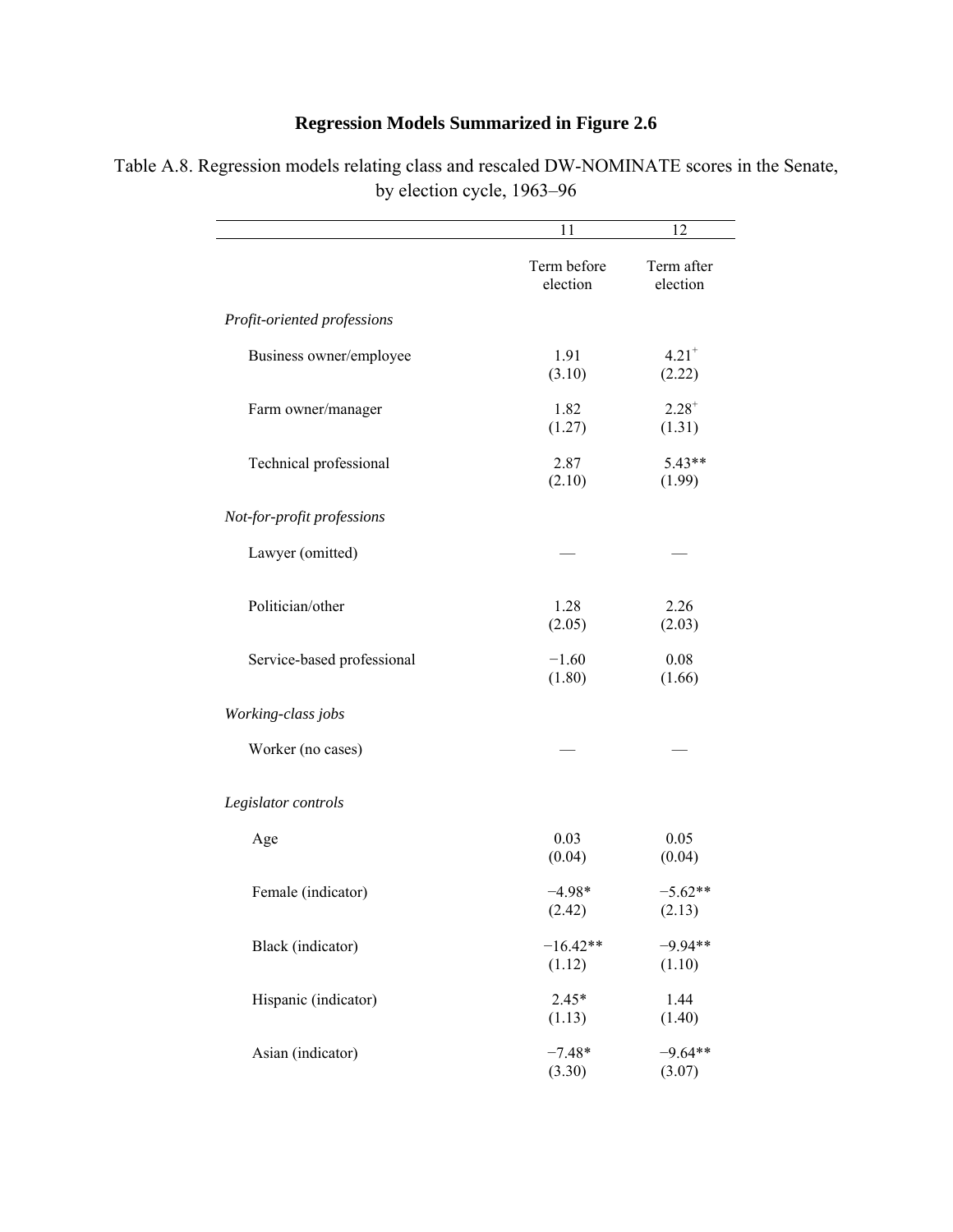## **Regression Models Summarized in Figure 2.6**

|                             | 11                      | 12                            |
|-----------------------------|-------------------------|-------------------------------|
|                             | Term before<br>election | Term after<br>election        |
| Profit-oriented professions |                         |                               |
| Business owner/employee     | 1.91<br>(3.10)          | $4.21$ <sup>+</sup><br>(2.22) |
| Farm owner/manager          | 1.82<br>(1.27)          | $2.28^{+}$<br>(1.31)          |
| Technical professional      | 2.87<br>(2.10)          | $5.43**$<br>(1.99)            |
| Not-for-profit professions  |                         |                               |
| Lawyer (omitted)            |                         |                               |
| Politician/other            | 1.28<br>(2.05)          | 2.26<br>(2.03)                |
| Service-based professional  | $-1.60$<br>(1.80)       | 0.08<br>(1.66)                |
| Working-class jobs          |                         |                               |
| Worker (no cases)           |                         |                               |
| Legislator controls         |                         |                               |
| Age                         | 0.03<br>(0.04)          | 0.05<br>(0.04)                |
| Female (indicator)          | $-4.98*$<br>(2.42)      | $-5.62**$<br>(2.13)           |
| Black (indicator)           | $-16.42**$<br>(1.12)    | $-9.94**$<br>(1.10)           |
| Hispanic (indicator)        | $2.45*$<br>(1.13)       | 1.44<br>(1.40)                |
| Asian (indicator)           | $-7.48*$<br>(3.30)      | $-9.64**$<br>(3.07)           |

Table A.8. Regression models relating class and rescaled DW-NOMINATE scores in the Senate, by election cycle, 1963–96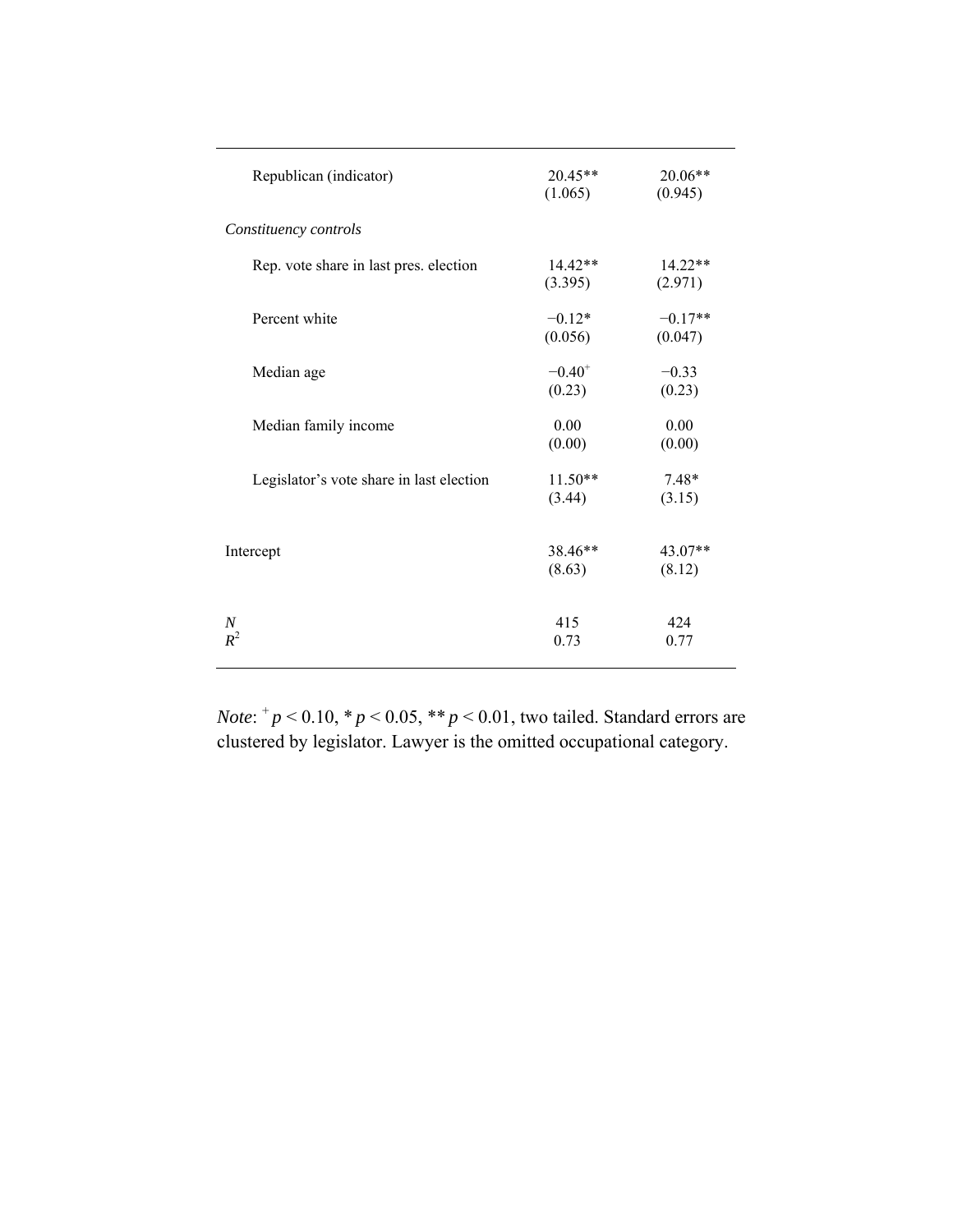| Republican (indicator)                   | $20.45**$<br>(1.065)  | 20.06**<br>(0.945)   |
|------------------------------------------|-----------------------|----------------------|
| Constituency controls                    |                       |                      |
| Rep. vote share in last pres. election   | $14.42**$<br>(3.395)  | $14.22**$<br>(2.971) |
| Percent white                            | $-0.12*$<br>(0.056)   | $-0.17**$<br>(0.047) |
| Median age                               | $-0.40^{+}$<br>(0.23) | $-0.33$<br>(0.23)    |
| Median family income                     | 0.00<br>(0.00)        | 0.00<br>(0.00)       |
| Legislator's vote share in last election | $11.50**$<br>(3.44)   | $7.48*$<br>(3.15)    |
| Intercept                                | 38.46**<br>(8.63)     | $43.07**$<br>(8.12)  |
| N<br>$R^2$                               | 415<br>0.73           | 424<br>0.77          |

*Note*:  $^{+}p$  < 0.10,  $^{*}p$  < 0.05,  $^{**}p$  < 0.01, two tailed. Standard errors are clustered by legislator. Lawyer is the omitted occupational category.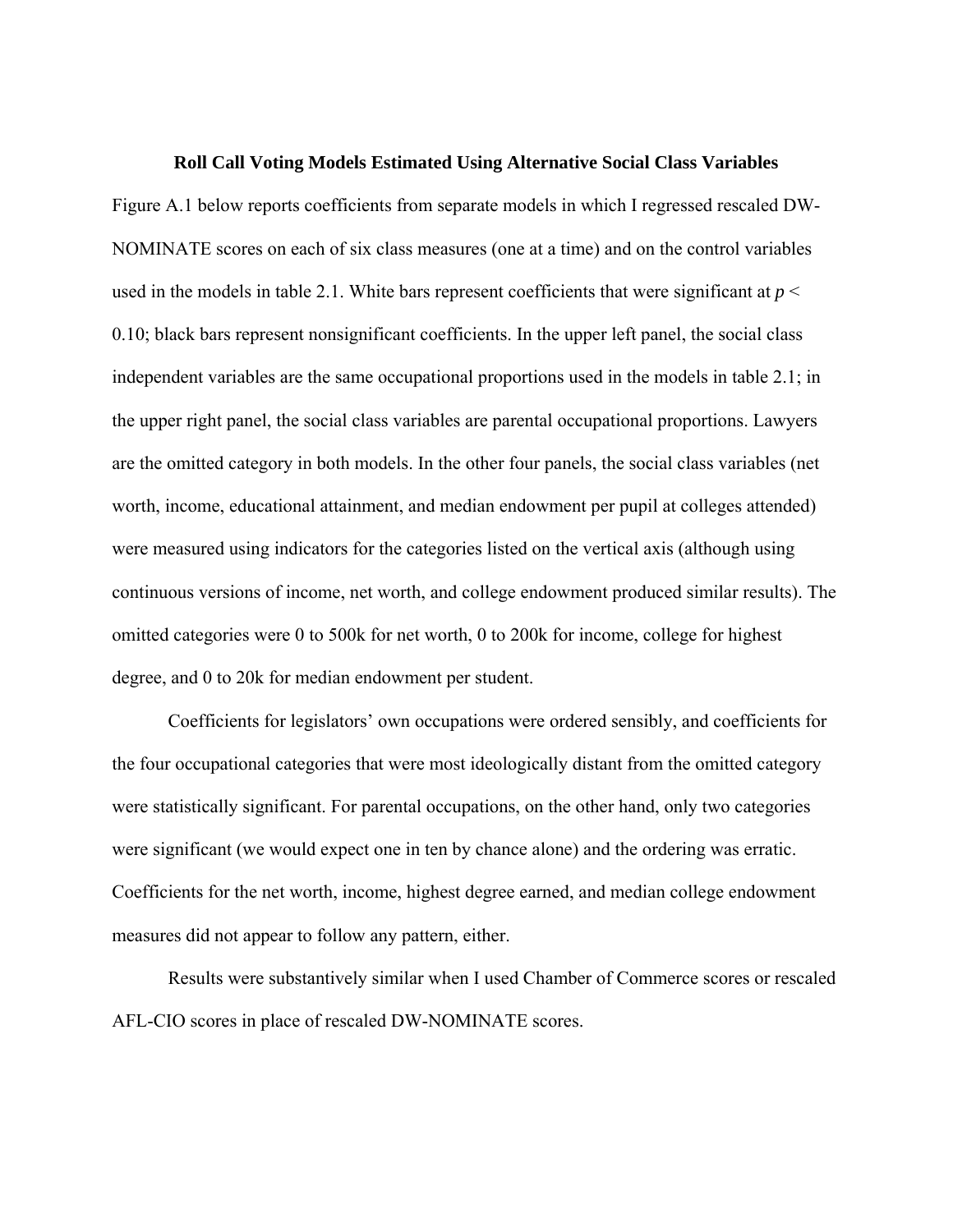#### **Roll Call Voting Models Estimated Using Alternative Social Class Variables**

Figure A.1 below reports coefficients from separate models in which I regressed rescaled DW-NOMINATE scores on each of six class measures (one at a time) and on the control variables used in the models in table 2.1. White bars represent coefficients that were significant at  $p <$ 0.10; black bars represent nonsignificant coefficients. In the upper left panel, the social class independent variables are the same occupational proportions used in the models in table 2.1; in the upper right panel, the social class variables are parental occupational proportions. Lawyers are the omitted category in both models. In the other four panels, the social class variables (net worth, income, educational attainment, and median endowment per pupil at colleges attended) were measured using indicators for the categories listed on the vertical axis (although using continuous versions of income, net worth, and college endowment produced similar results). The omitted categories were 0 to 500k for net worth, 0 to 200k for income, college for highest degree, and 0 to 20k for median endowment per student.

Coefficients for legislators' own occupations were ordered sensibly, and coefficients for the four occupational categories that were most ideologically distant from the omitted category were statistically significant. For parental occupations, on the other hand, only two categories were significant (we would expect one in ten by chance alone) and the ordering was erratic. Coefficients for the net worth, income, highest degree earned, and median college endowment measures did not appear to follow any pattern, either.

Results were substantively similar when I used Chamber of Commerce scores or rescaled AFL-CIO scores in place of rescaled DW-NOMINATE scores.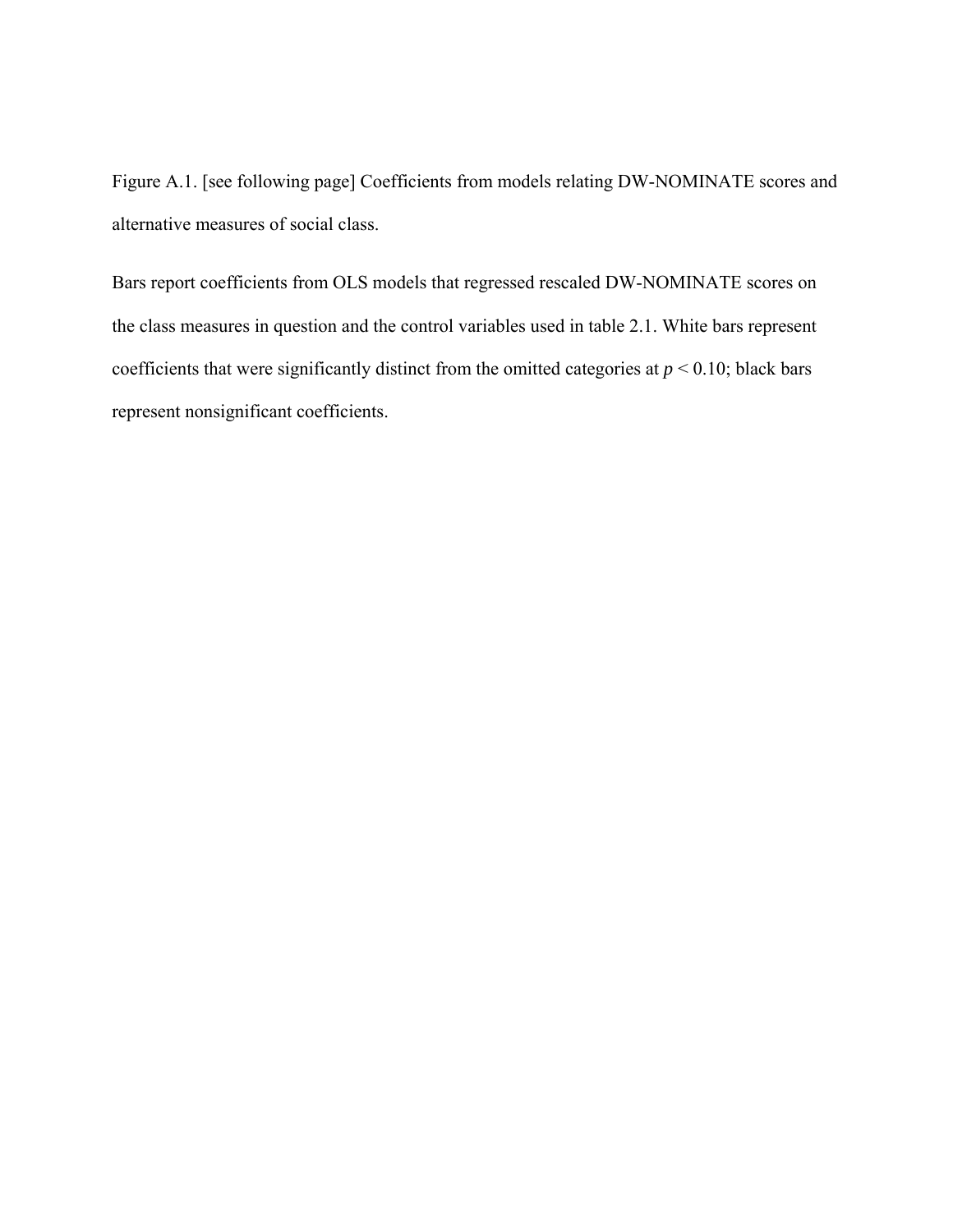Figure A.1. [see following page] Coefficients from models relating DW-NOMINATE scores and alternative measures of social class.

Bars report coefficients from OLS models that regressed rescaled DW-NOMINATE scores on the class measures in question and the control variables used in table 2.1. White bars represent coefficients that were significantly distinct from the omitted categories at  $p \le 0.10$ ; black bars represent nonsignificant coefficients.